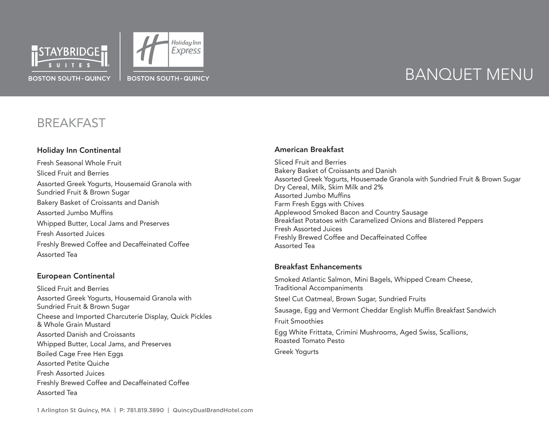



### **BREAKFAST**

#### Holiday Inn Continental

Fresh Seasonal Whole Fruit Sliced Fruit and Berries Assorted Greek Yogurts, Housemaid Granola with Sundried Fruit & Brown Sugar Bakery Basket of Croissants and Danish Assorted Jumbo Muffins Whipped Butter, Local Jams and Preserves Fresh Assorted Juices Freshly Brewed Coffee and Decaffeinated Coffee Assorted Tea

#### European Continental

Sliced Fruit and Berries Assorted Greek Yogurts, Housemaid Granola with Sundried Fruit & Brown Sugar Cheese and Imported Charcuterie Display, Quick Pickles & Whole Grain Mustard Assorted Danish and Croissants Whipped Butter, Local Jams, and Preserves Boiled Cage Free Hen Eggs Assorted Petite Quiche Fresh Assorted Juices Freshly Brewed Coffee and Decaffeinated Coffee Assorted Tea

#### American Breakfast

Sliced Fruit and Berries Bakery Basket of Croissants and Danish Assorted Greek Yogurts, Housemade Granola with Sundried Fruit & Brown Sugar Dry Cereal, Milk, Skim Milk and 2% Assorted Jumbo Muffins Farm Fresh Eggs with Chives Applewood Smoked Bacon and Country Sausage Breakfast Potatoes with Caramelized Onions and Blistered Peppers Fresh Assorted Juices Freshly Brewed Coffee and Decaffeinated Coffee Assorted Tea

#### Breakfast Enhancements

Smoked Atlantic Salmon, Mini Bagels, Whipped Cream Cheese, Traditional Accompaniments Steel Cut Oatmeal, Brown Sugar, Sundried Fruits Sausage, Egg and Vermont Cheddar English Muffin Breakfast Sandwich Fruit Smoothies Egg White Frittata, Crimini Mushrooms, Aged Swiss, Scallions, Roasted Tomato Pesto Greek Yogurts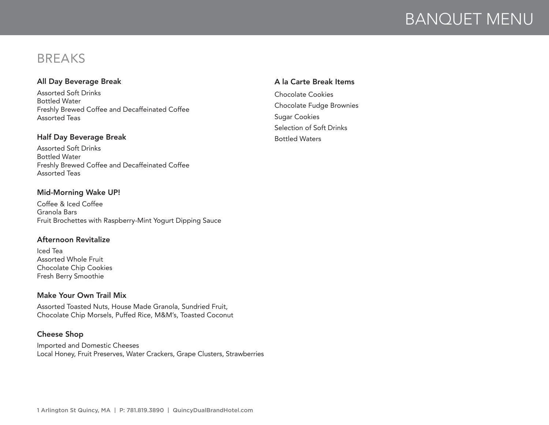### BREAKS

#### All Day Beverage Break

Assorted Soft Drinks Bottled Water Freshly Brewed Coffee and Decaffeinated Coffee Assorted Teas

#### Half Day Beverage Break

Assorted Soft Drinks Bottled Water Freshly Brewed Coffee and Decaffeinated Coffee Assorted Teas

#### Mid-Morning Wake UP!

Coffee & Iced Coffee Granola Bars Fruit Brochettes with Raspberry-Mint Yogurt Dipping Sauce

#### Afternoon Revitalize

Iced Tea Assorted Whole Fruit Chocolate Chip Cookies Fresh Berry Smoothie

#### Make Your Own Trail Mix

Assorted Toasted Nuts, House Made Granola, Sundried Fruit, Chocolate Chip Morsels, Puffed Rice, M&M's, Toasted Coconut

#### Cheese Shop

Imported and Domestic Cheeses Local Honey, Fruit Preserves, Water Crackers, Grape Clusters, Strawberries

#### A la Carte Break Items

Chocolate Cookies Chocolate Fudge Brownies Sugar Cookies Selection of Soft Drinks Bottled Waters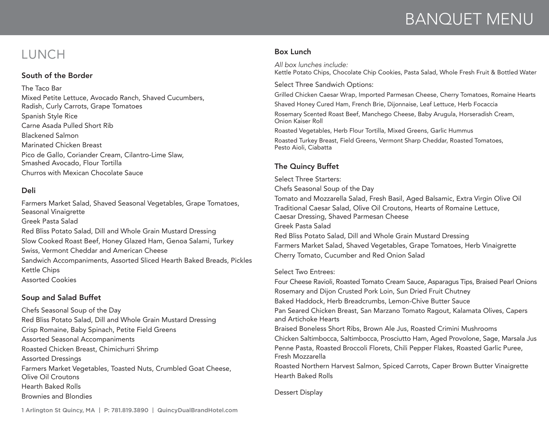### LUNCH

#### South of the Border

The Taco Bar Mixed Petite Lettuce, Avocado Ranch, Shaved Cucumbers, Radish, Curly Carrots, Grape Tomatoes Spanish Style Rice Carne Asada Pulled Short Rib Blackened Salmon Marinated Chicken Breast Pico de Gallo, Coriander Cream, Cilantro-Lime Slaw, Smashed Avocado, Flour Tortilla Churros with Mexican Chocolate Sauce

#### Deli

Farmers Market Salad, Shaved Seasonal Vegetables, Grape Tomatoes, Seasonal Vinaigrette Greek Pasta Salad Red Bliss Potato Salad, Dill and Whole Grain Mustard Dressing Slow Cooked Roast Beef, Honey Glazed Ham, Genoa Salami, Turkey Swiss, Vermont Cheddar and American Cheese Sandwich Accompaniments, Assorted Sliced Hearth Baked Breads, Pickles Kettle Chips Assorted Cookies

#### Soup and Salad Buffet

Chefs Seasonal Soup of the Day Red Bliss Potato Salad, Dill and Whole Grain Mustard Dressing Crisp Romaine, Baby Spinach, Petite Field Greens Assorted Seasonal Accompaniments Roasted Chicken Breast, Chimichurri Shrimp Assorted Dressings Farmers Market Vegetables, Toasted Nuts, Crumbled Goat Cheese, Olive Oil Croutons Hearth Baked Rolls Brownies and Blondies

#### Box Lunch

*All box lunches include:* Kettle Potato Chips, Chocolate Chip Cookies, Pasta Salad, Whole Fresh Fruit & Bottled Water

Select Three Sandwich Options:

Grilled Chicken Caesar Wrap, Imported Parmesan Cheese, Cherry Tomatoes, Romaine Hearts

Shaved Honey Cured Ham, French Brie, Dijonnaise, Leaf Lettuce, Herb Focaccia

Rosemary Scented Roast Beef, Manchego Cheese, Baby Arugula, Horseradish Cream, Onion Kaiser Roll

Roasted Vegetables, Herb Flour Tortilla, Mixed Greens, Garlic Hummus

Roasted Turkey Breast, Field Greens, Vermont Sharp Cheddar, Roasted Tomatoes, Pesto Aioli, Ciabatta

#### The Quincy Buffet

Select Three Starters: Chefs Seasonal Soup of the Day Tomato and Mozzarella Salad, Fresh Basil, Aged Balsamic, Extra Virgin Olive Oil Traditional Caesar Salad, Olive Oil Croutons, Hearts of Romaine Lettuce, Caesar Dressing, Shaved Parmesan Cheese Greek Pasta Salad Red Bliss Potato Salad, Dill and Whole Grain Mustard Dressing Farmers Market Salad, Shaved Vegetables, Grape Tomatoes, Herb Vinaigrette Cherry Tomato, Cucumber and Red Onion Salad

#### Select Two Entrees:

Four Cheese Ravioli, Roasted Tomato Cream Sauce, Asparagus Tips, Braised Pearl Onions Rosemary and Dijon Crusted Pork Loin, Sun Dried Fruit Chutney Baked Haddock, Herb Breadcrumbs, Lemon-Chive Butter Sauce Pan Seared Chicken Breast, San Marzano Tomato Ragout, Kalamata Olives, Capers and Artichoke Hearts Braised Boneless Short Ribs, Brown Ale Jus, Roasted Crimini Mushrooms Chicken Saltimbocca, Saltimbocca, Prosciutto Ham, Aged Provolone, Sage, Marsala Jus Penne Pasta, Roasted Broccoli Florets, Chili Pepper Flakes, Roasted Garlic Puree, Fresh Mozzarella Roasted Northern Harvest Salmon, Spiced Carrots, Caper Brown Butter Vinaigrette

Dessert Display

Hearth Baked Rolls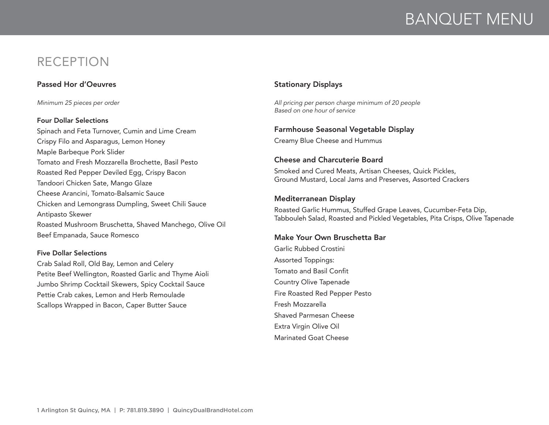### RECEPTION

#### Passed Hor d'Oeuvres

*Minimum 25 pieces per order*

#### Four Dollar Selections

Spinach and Feta Turnover, Cumin and Lime Cream Crispy Filo and Asparagus, Lemon Honey Maple Barbeque Pork Slider Tomato and Fresh Mozzarella Brochette, Basil Pesto Roasted Red Pepper Deviled Egg, Crispy Bacon Tandoori Chicken Sate, Mango Glaze Cheese Arancini, Tomato-Balsamic Sauce Chicken and Lemongrass Dumpling, Sweet Chili Sauce Antipasto Skewer Roasted Mushroom Bruschetta, Shaved Manchego, Olive Oil Beef Empanada, Sauce Romesco

#### Five Dollar Selections

Crab Salad Roll, Old Bay, Lemon and Celery Petite Beef Wellington, Roasted Garlic and Thyme Aioli Jumbo Shrimp Cocktail Skewers, Spicy Cocktail Sauce Pettie Crab cakes, Lemon and Herb Remoulade Scallops Wrapped in Bacon, Caper Butter Sauce

#### Stationary Displays

*All pricing per person charge minimum of 20 people Based on one hour of service*

#### Farmhouse Seasonal Vegetable Display

Creamy Blue Cheese and Hummus

#### Cheese and Charcuterie Board

Smoked and Cured Meats, Artisan Cheeses, Quick Pickles, Ground Mustard, Local Jams and Preserves, Assorted Crackers

#### Mediterranean Display

Roasted Garlic Hummus, Stuffed Grape Leaves, Cucumber-Feta Dip, Tabbouleh Salad, Roasted and Pickled Vegetables, Pita Crisps, Olive Tapenade

#### Make Your Own Bruschetta Bar

Garlic Rubbed Crostini Assorted Toppings: Tomato and Basil Confit Country Olive Tapenade Fire Roasted Red Pepper Pesto Fresh Mozzarella Shaved Parmesan Cheese Extra Virgin Olive Oil Marinated Goat Cheese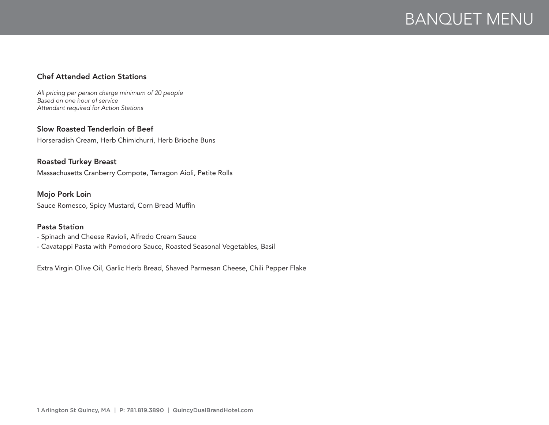#### Chef Attended Action Stations

*All pricing per person charge minimum of 20 people Based on one hour of service Attendant required for Action Stations*

#### Slow Roasted Tenderloin of Beef

Horseradish Cream, Herb Chimichurri, Herb Brioche Buns

#### Roasted Turkey Breast

Massachusetts Cranberry Compote, Tarragon Aioli, Petite Rolls

#### Mojo Pork Loin

Sauce Romesco, Spicy Mustard, Corn Bread Muffin

#### Pasta Station

- Spinach and Cheese Ravioli, Alfredo Cream Sauce

- Cavatappi Pasta with Pomodoro Sauce, Roasted Seasonal Vegetables, Basil

Extra Virgin Olive Oil, Garlic Herb Bread, Shaved Parmesan Cheese, Chili Pepper Flake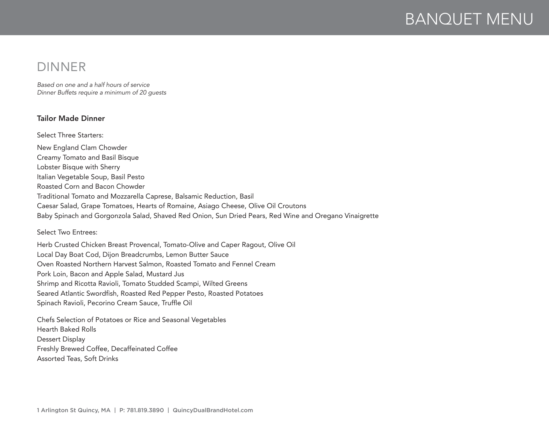### DINNER

*Based on one and a half hours of service Dinner Buffets require a minimum of 20 guests*

#### Tailor Made Dinner

Select Three Starters: New England Clam Chowder Creamy Tomato and Basil Bisque Lobster Bisque with Sherry Italian Vegetable Soup, Basil Pesto Roasted Corn and Bacon Chowder Traditional Tomato and Mozzarella Caprese, Balsamic Reduction, Basil Caesar Salad, Grape Tomatoes, Hearts of Romaine, Asiago Cheese, Olive Oil Croutons Baby Spinach and Gorgonzola Salad, Shaved Red Onion, Sun Dried Pears, Red Wine and Oregano Vinaigrette

Select Two Entrees:

Herb Crusted Chicken Breast Provencal, Tomato-Olive and Caper Ragout, Olive Oil Local Day Boat Cod, Dijon Breadcrumbs, Lemon Butter Sauce Oven Roasted Northern Harvest Salmon, Roasted Tomato and Fennel Cream Pork Loin, Bacon and Apple Salad, Mustard Jus Shrimp and Ricotta Ravioli, Tomato Studded Scampi, Wilted Greens Seared Atlantic Swordfish, Roasted Red Pepper Pesto, Roasted Potatoes Spinach Ravioli, Pecorino Cream Sauce, Truffle Oil

Chefs Selection of Potatoes or Rice and Seasonal Vegetables Hearth Baked Rolls Dessert Display Freshly Brewed Coffee, Decaffeinated Coffee Assorted Teas, Soft Drinks